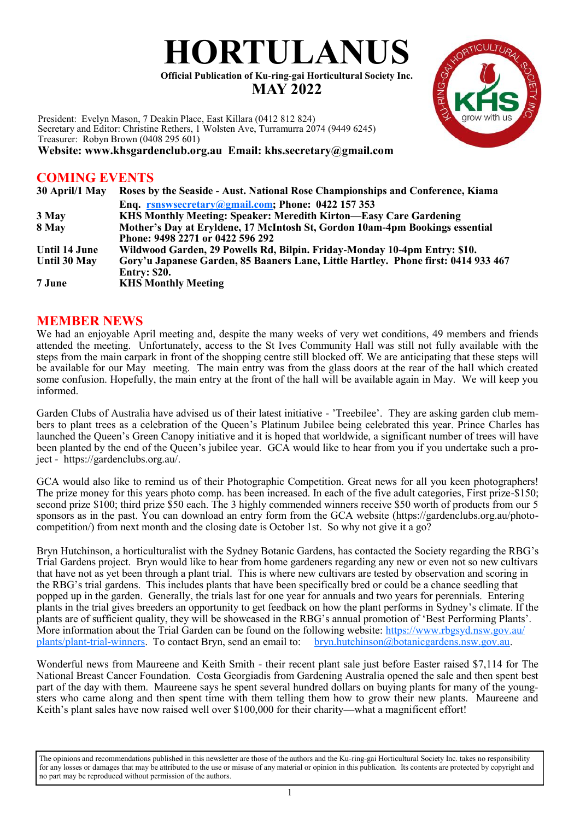# **HORTULANUS**

**Official Publication of Ku-ring-gai Horticultural Society Inc. MAY 2022**

President: Evelyn Mason, 7 Deakin Place, East Killara (0412 812 824) Secretary and Editor: Christine Rethers, 1 Wolsten Ave, Turramurra 2074 (9449 6245) Treasurer: Robyn Brown (0408 295 601) **Website: www.khsgardenclub.org.au Email: khs.secretary@gmail.com**

# **COMING EVENTS**

| 30 April/1 May | Roses by the Seaside - Aust. National Rose Championships and Conference, Kiama     |
|----------------|------------------------------------------------------------------------------------|
|                | Enq. rsnswsecretary@gmail.com; Phone: 0422 157 353                                 |
| 3 May          | KHS Monthly Meeting: Speaker: Meredith Kirton—Easy Care Gardening                  |
| 8 May          | Mother's Day at Eryldene, 17 McIntosh St, Gordon 10am-4pm Bookings essential       |
|                | Phone: 9498 2271 or 0422 596 292                                                   |
| Until 14 June  | Wildwood Garden, 29 Powells Rd, Bilpin. Friday-Monday 10-4pm Entry: \$10.          |
| Until 30 May   | Gory'u Japanese Garden, 85 Baaners Lane, Little Hartley. Phone first: 0414 933 467 |
|                | <b>Entry: \$20.</b>                                                                |
| 7 June         | <b>KHS Monthly Meeting</b>                                                         |

## **MEMBER NEWS**

We had an enjoyable April meeting and, despite the many weeks of very wet conditions, 49 members and friends attended the meeting. Unfortunately, access to the St Ives Community Hall was still not fully available with the steps from the main carpark in front of the shopping centre still blocked off. We are anticipating that these steps will be available for our May meeting. The main entry was from the glass doors at the rear of the hall which created some confusion. Hopefully, the main entry at the front of the hall will be available again in May. We will keep you informed.

Garden Clubs of Australia have advised us of their latest initiative - 'Treebilee'. They are asking garden club members to plant trees as a celebration of the Queen's Platinum Jubilee being celebrated this year. Prince Charles has launched the Queen's Green Canopy initiative and it is hoped that worldwide, a significant number of trees will have been planted by the end of the Queen's jubilee year. GCA would like to hear from you if you undertake such a project - https://gardenclubs.org.au/.

GCA would also like to remind us of their Photographic Competition. Great news for all you keen photographers! The prize money for this years photo comp. has been increased. In each of the five adult categories, First prize-\$150; second prize \$100; third prize \$50 each. The 3 highly commended winners receive \$50 worth of products from our 5 sponsors as in the past. You can download an entry form from the GCA website (https://gardenclubs.org.au/photocompetition/) from next month and the closing date is October 1st. So why not give it a go?

Bryn Hutchinson, a horticulturalist with the Sydney Botanic Gardens, has contacted the Society regarding the RBG's Trial Gardens project. Bryn would like to hear from home gardeners regarding any new or even not so new cultivars that have not as yet been through a plant trial. This is where new cultivars are tested by observation and scoring in the RBG's trial gardens. This includes plants that have been specifically bred or could be a chance seedling that popped up in the garden. Generally, the trials last for one year for annuals and two years for perennials. Entering plants in the trial gives breeders an opportunity to get feedback on how the plant performs in Sydney's climate. If the plants are of sufficient quality, they will be showcased in the RBG's annual promotion of 'Best Performing Plants'. More information about the Trial Garden can be found on the following website: [https://www.rbgsyd.nsw.gov.au/](https://www.rbgsyd.nsw.gov.au/plants/plant-trial-winners) [plants/plant-trial-winners.](https://www.rbgsyd.nsw.gov.au/plants/plant-trial-winners) To contact Bryn, send an email to: [bryn.hutchinson@botanicgardens.nsw.gov.au.](mailto:bryn.hutchinson@botanicgardens.nsw.gov.au)

Wonderful news from Maureene and Keith Smith - their recent plant sale just before Easter raised \$7,114 for The National Breast Cancer Foundation. Costa Georgiadis from Gardening Australia opened the sale and then spent best part of the day with them. Maureene says he spent several hundred dollars on buying plants for many of the youngsters who came along and then spent time with them telling them how to grow their new plants. Maureene and Keith's plant sales have now raised well over \$100,000 for their charity—what a magnificent effort!

The opinions and recommendations published in this newsletter are those of the authors and the Ku-ring-gai Horticultural Society Inc. takes no responsibility for any losses or damages that may be attributed to the use or misuse of any material or opinion in this publication. Its contents are protected by copyright and no part may be reproduced without permission of the authors.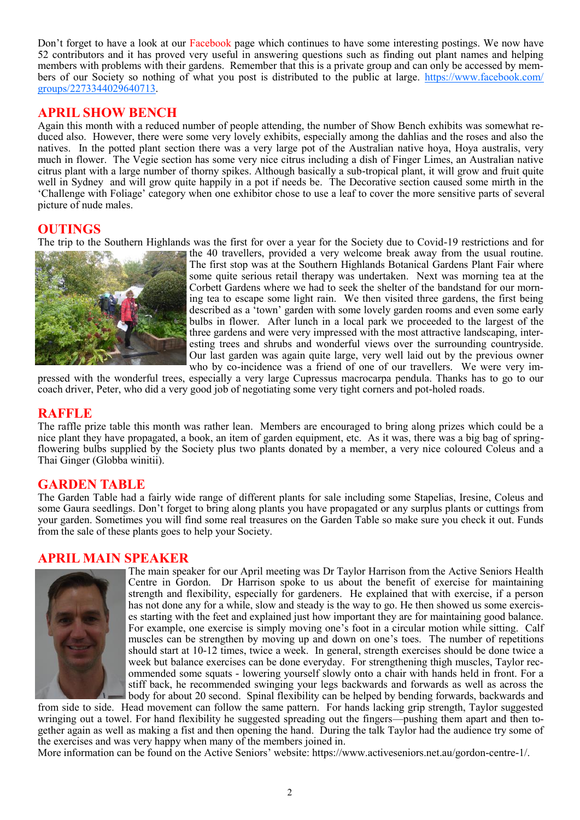Don't forget to have a look at our Facebook page which continues to have some interesting postings. We now have 52 contributors and it has proved very useful in answering questions such as finding out plant names and helping members with problems with their gardens. Remember that this is a private group and can only be accessed by members of our Society so nothing of what you post is distributed to the public at large. [https://www.facebook.com/](https://www.facebook.com/groups/2273344029640713) [groups/2273344029640713.](https://www.facebook.com/groups/2273344029640713)

# **APRIL SHOW BENCH**

Again this month with a reduced number of people attending, the number of Show Bench exhibits was somewhat reduced also. However, there were some very lovely exhibits, especially among the dahlias and the roses and also the natives. In the potted plant section there was a very large pot of the Australian native hoya, Hoya australis, very much in flower. The Vegie section has some very nice citrus including a dish of Finger Limes, an Australian native citrus plant with a large number of thorny spikes. Although basically a sub-tropical plant, it will grow and fruit quite well in Sydney and will grow quite happily in a pot if needs be. The Decorative section caused some mirth in the 'Challenge with Foliage' category when one exhibitor chose to use a leaf to cover the more sensitive parts of several picture of nude males.

## **OUTINGS**

The trip to the Southern Highlands was the first for over a year for the Society due to Covid-19 restrictions and for



the 40 travellers, provided a very welcome break away from the usual routine. The first stop was at the Southern Highlands Botanical Gardens Plant Fair where some quite serious retail therapy was undertaken. Next was morning tea at the Corbett Gardens where we had to seek the shelter of the bandstand for our morning tea to escape some light rain. We then visited three gardens, the first being described as a 'town' garden with some lovely garden rooms and even some early bulbs in flower. After lunch in a local park we proceeded to the largest of the three gardens and were very impressed with the most attractive landscaping, interesting trees and shrubs and wonderful views over the surrounding countryside. Our last garden was again quite large, very well laid out by the previous owner who by co-incidence was a friend of one of our travellers. We were very im-

pressed with the wonderful trees, especially a very large Cupressus macrocarpa pendula. Thanks has to go to our coach driver, Peter, who did a very good job of negotiating some very tight corners and pot-holed roads.

#### **RAFFLE**

The raffle prize table this month was rather lean. Members are encouraged to bring along prizes which could be a nice plant they have propagated, a book, an item of garden equipment, etc. As it was, there was a big bag of springflowering bulbs supplied by the Society plus two plants donated by a member, a very nice coloured Coleus and a Thai Ginger (Globba winitii).

#### **GARDEN TABLE**

The Garden Table had a fairly wide range of different plants for sale including some Stapelias, Iresine, Coleus and some Gaura seedlings. Don't forget to bring along plants you have propagated or any surplus plants or cuttings from your garden. Sometimes you will find some real treasures on the Garden Table so make sure you check it out. Funds from the sale of these plants goes to help your Society.

#### **APRIL MAIN SPEAKER**



The main speaker for our April meeting was Dr Taylor Harrison from the Active Seniors Health Centre in Gordon. Dr Harrison spoke to us about the benefit of exercise for maintaining strength and flexibility, especially for gardeners. He explained that with exercise, if a person has not done any for a while, slow and steady is the way to go. He then showed us some exercises starting with the feet and explained just how important they are for maintaining good balance. For example, one exercise is simply moving one's foot in a circular motion while sitting. Calf muscles can be strengthen by moving up and down on one's toes. The number of repetitions should start at 10-12 times, twice a week. In general, strength exercises should be done twice a week but balance exercises can be done everyday. For strengthening thigh muscles, Taylor recommended some squats - lowering yourself slowly onto a chair with hands held in front. For a stiff back, he recommended swinging your legs backwards and forwards as well as across the body for about 20 second. Spinal flexibility can be helped by bending forwards, backwards and

from side to side. Head movement can follow the same pattern. For hands lacking grip strength, Taylor suggested wringing out a towel. For hand flexibility he suggested spreading out the fingers—pushing them apart and then together again as well as making a fist and then opening the hand. During the talk Taylor had the audience try some of the exercises and was very happy when many of the members joined in.

More information can be found on the Active Seniors' website: https://www.activeseniors.net.au/gordon-centre-1/.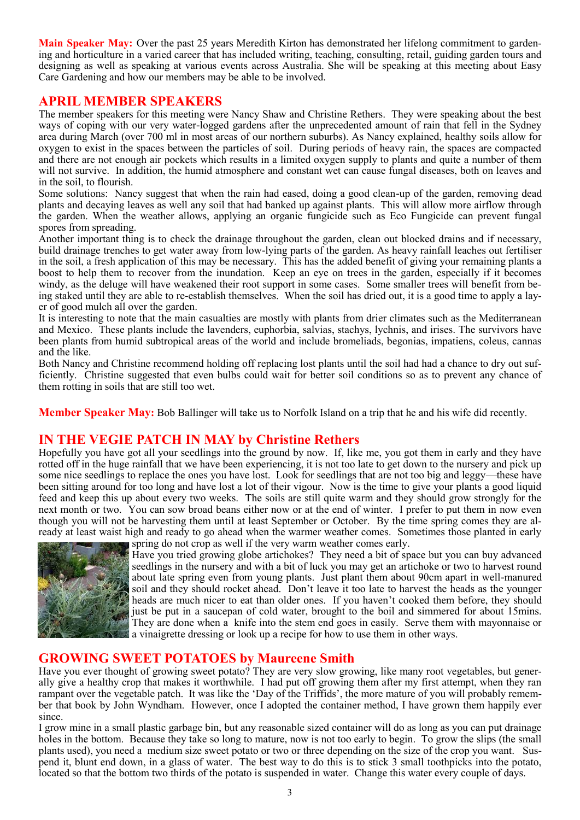**Main Speaker May:** Over the past 25 years Meredith Kirton has demonstrated her lifelong commitment to gardening and horticulture in a varied career that has included writing, teaching, consulting, retail, guiding garden tours and designing as well as speaking at various events across Australia. She will be speaking at this meeting about Easy Care Gardening and how our members may be able to be involved.

### **APRIL MEMBER SPEAKERS**

The member speakers for this meeting were Nancy Shaw and Christine Rethers. They were speaking about the best ways of coping with our very water-logged gardens after the unprecedented amount of rain that fell in the Sydney area during March (over 700 ml in most areas of our northern suburbs). As Nancy explained, healthy soils allow for oxygen to exist in the spaces between the particles of soil. During periods of heavy rain, the spaces are compacted and there are not enough air pockets which results in a limited oxygen supply to plants and quite a number of them will not survive. In addition, the humid atmosphere and constant wet can cause fungal diseases, both on leaves and in the soil, to flourish.

Some solutions: Nancy suggest that when the rain had eased, doing a good clean-up of the garden, removing dead plants and decaying leaves as well any soil that had banked up against plants. This will allow more airflow through the garden. When the weather allows, applying an organic fungicide such as Eco Fungicide can prevent fungal spores from spreading.

Another important thing is to check the drainage throughout the garden, clean out blocked drains and if necessary, build drainage trenches to get water away from low-lying parts of the garden. As heavy rainfall leaches out fertiliser in the soil, a fresh application of this may be necessary. This has the added benefit of giving your remaining plants a boost to help them to recover from the inundation. Keep an eye on trees in the garden, especially if it becomes windy, as the deluge will have weakened their root support in some cases. Some smaller trees will benefit from being staked until they are able to re-establish themselves. When the soil has dried out, it is a good time to apply a layer of good mulch all over the garden.

It is interesting to note that the main casualties are mostly with plants from drier climates such as the Mediterranean and Mexico. These plants include the lavenders, euphorbia, salvias, stachys, lychnis, and irises. The survivors have been plants from humid subtropical areas of the world and include bromeliads, begonias, impatiens, coleus, cannas and the like.

Both Nancy and Christine recommend holding off replacing lost plants until the soil had had a chance to dry out sufficiently. Christine suggested that even bulbs could wait for better soil conditions so as to prevent any chance of them rotting in soils that are still too wet.

**Member Speaker May:** Bob Ballinger will take us to Norfolk Island on a trip that he and his wife did recently.

# **IN THE VEGIE PATCH IN MAY by Christine Rethers**

Hopefully you have got all your seedlings into the ground by now. If, like me, you got them in early and they have rotted off in the huge rainfall that we have been experiencing, it is not too late to get down to the nursery and pick up some nice seedlings to replace the ones you have lost. Look for seedlings that are not too big and leggy—these have been sitting around for too long and have lost a lot of their vigour. Now is the time to give your plants a good liquid feed and keep this up about every two weeks. The soils are still quite warm and they should grow strongly for the next month or two. You can sow broad beans either now or at the end of winter. I prefer to put them in now even though you will not be harvesting them until at least September or October. By the time spring comes they are already at least waist high and ready to go ahead when the warmer weather comes. Sometimes those planted in early spring do not crop as well if the very warm weather comes early.



Have you tried growing globe artichokes? They need a bit of space but you can buy advanced seedlings in the nursery and with a bit of luck you may get an artichoke or two to harvest round about late spring even from young plants. Just plant them about 90cm apart in well-manured soil and they should rocket ahead. Don't leave it too late to harvest the heads as the younger heads are much nicer to eat than older ones. If you haven't cooked them before, they should just be put in a saucepan of cold water, brought to the boil and simmered for about 15mins. They are done when a knife into the stem end goes in easily. Serve them with mayonnaise or a vinaigrette dressing or look up a recipe for how to use them in other ways.

## **GROWING SWEET POTATOES by Maureene Smith**

Have you ever thought of growing sweet potato? They are very slow growing, like many root vegetables, but generally give a healthy crop that makes it worthwhile. I had put off growing them after my first attempt, when they ran rampant over the vegetable patch. It was like the 'Day of the Triffids', the more mature of you will probably remember that book by John Wyndham. However, once I adopted the container method, I have grown them happily ever since.

I grow mine in a small plastic garbage bin, but any reasonable sized container will do as long as you can put drainage holes in the bottom. Because they take so long to mature, now is not too early to begin. To grow the slips (the small plants used), you need a medium size sweet potato or two or three depending on the size of the crop you want. Suspend it, blunt end down, in a glass of water. The best way to do this is to stick 3 small toothpicks into the potato, located so that the bottom two thirds of the potato is suspended in water. Change this water every couple of days.